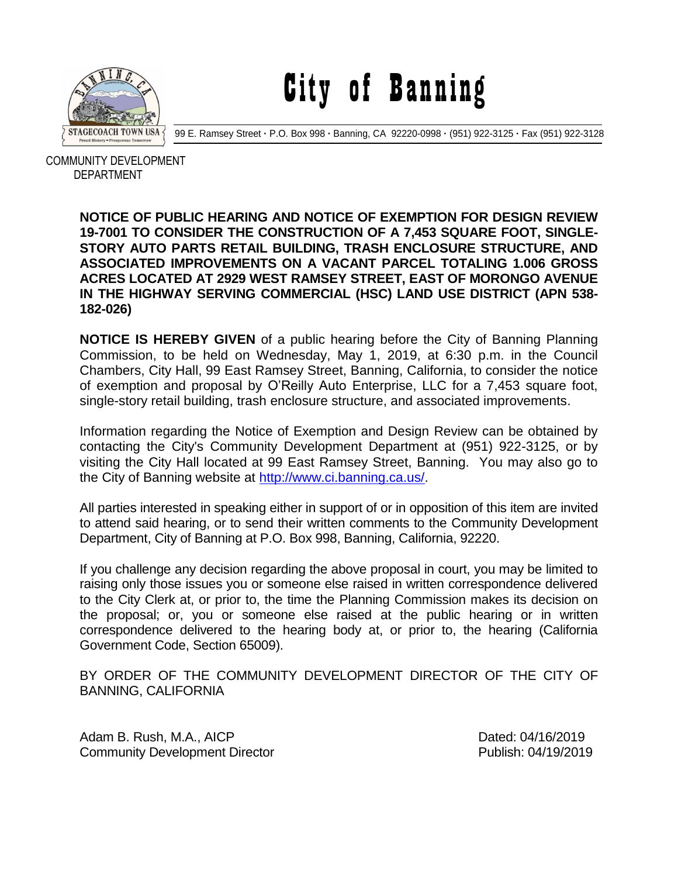

City of Banning

99 E. Ramsey Street **·** P.O. Box 998 **·** Banning, CA 92220-0998 **·** (951) 922-3125 **·** Fax (951) 922-3128

 COMMUNITY DEVELOPMENT DEPARTMENT

## **NOTICE OF PUBLIC HEARING AND NOTICE OF EXEMPTION FOR DESIGN REVIEW 19-7001 TO CONSIDER THE CONSTRUCTION OF A 7,453 SQUARE FOOT, SINGLE-STORY AUTO PARTS RETAIL BUILDING, TRASH ENCLOSURE STRUCTURE, AND ASSOCIATED IMPROVEMENTS ON A VACANT PARCEL TOTALING 1.006 GROSS ACRES LOCATED AT 2929 WEST RAMSEY STREET, EAST OF MORONGO AVENUE IN THE HIGHWAY SERVING COMMERCIAL (HSC) LAND USE DISTRICT (APN 538- 182-026)**

**NOTICE IS HEREBY GIVEN** of a public hearing before the City of Banning Planning Commission, to be held on Wednesday, May 1, 2019, at 6:30 p.m. in the Council Chambers, City Hall, 99 East Ramsey Street, Banning, California, to consider the notice of exemption and proposal by O'Reilly Auto Enterprise, LLC for a 7,453 square foot, single-story retail building, trash enclosure structure, and associated improvements.

Information regarding the Notice of Exemption and Design Review can be obtained by contacting the City's Community Development Department at (951) 922-3125, or by visiting the City Hall located at 99 East Ramsey Street, Banning. You may also go to the City of Banning website at [http://www.ci.banning.ca.us/.](http://www.ci.banning.ca.us/)

All parties interested in speaking either in support of or in opposition of this item are invited to attend said hearing, or to send their written comments to the Community Development Department, City of Banning at P.O. Box 998, Banning, California, 92220.

If you challenge any decision regarding the above proposal in court, you may be limited to raising only those issues you or someone else raised in written correspondence delivered to the City Clerk at, or prior to, the time the Planning Commission makes its decision on the proposal; or, you or someone else raised at the public hearing or in written correspondence delivered to the hearing body at, or prior to, the hearing (California Government Code, Section 65009).

BY ORDER OF THE COMMUNITY DEVELOPMENT DIRECTOR OF THE CITY OF BANNING, CALIFORNIA

Adam B. Rush, M.A., AICP Dated: 04/16/2019 Community Development Director **Publish: 04/19/2019**